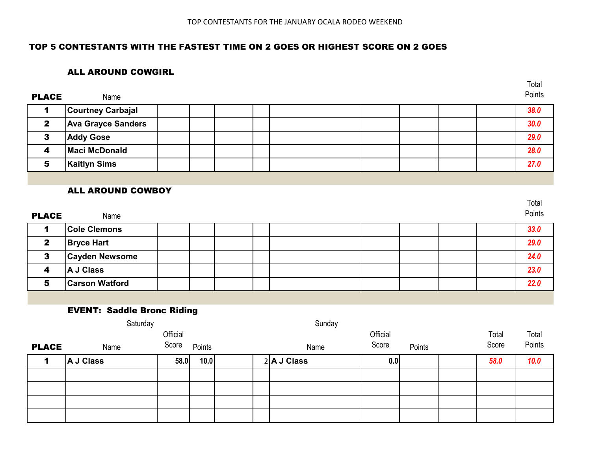Total

## TOP 5 CONTESTANTS WITH THE FASTEST TIME ON 2 GOES OR HIGHEST SCORE ON 2 GOES

### ALL AROUND COWGIRL

| <b>PLACE</b> | Name                      |  |  |  |  | Points |
|--------------|---------------------------|--|--|--|--|--------|
|              | <b>Courtney Carbajal</b>  |  |  |  |  | 38.0   |
| $\mathbf{2}$ | <b>Ava Grayce Sanders</b> |  |  |  |  | 30.0   |
|              | <b>Addy Gose</b>          |  |  |  |  | 29.0   |
| 4            | <b>Maci McDonald</b>      |  |  |  |  | 28.0   |
| 5            | <b>Kaitlyn Sims</b>       |  |  |  |  | 27.0   |
|              |                           |  |  |  |  |        |

### ALL AROUND COWBOY

| <b>PLACE</b> | Name                  |  |  |  |  | Total<br>Points |
|--------------|-----------------------|--|--|--|--|-----------------|
|              | <b>Cole Clemons</b>   |  |  |  |  | 33.0            |
| $\mathbf{2}$ | <b>Bryce Hart</b>     |  |  |  |  | 29.0            |
| 3            | <b>Cayden Newsome</b> |  |  |  |  | 24.0            |
| 4            | A J Class             |  |  |  |  | 23.0            |
| 5            | <b>Carson Watford</b> |  |  |  |  | 22.0            |

### EVENT: Saddle Bronc Riding

| Saturday     |           |          |        |  | Sunday |               |          |        |       |        |
|--------------|-----------|----------|--------|--|--------|---------------|----------|--------|-------|--------|
|              |           | Official |        |  |        |               | Official |        | Total | Total  |
| <b>PLACE</b> | Name      | Score    | Points |  |        | Name          | Score    | Points | Score | Points |
|              | A J Class | 58.0     | 10.0   |  |        | $2$ A J Class | 0.0      |        | 58.0  | 10.0   |
|              |           |          |        |  |        |               |          |        |       |        |
|              |           |          |        |  |        |               |          |        |       |        |
|              |           |          |        |  |        |               |          |        |       |        |
|              |           |          |        |  |        |               |          |        |       |        |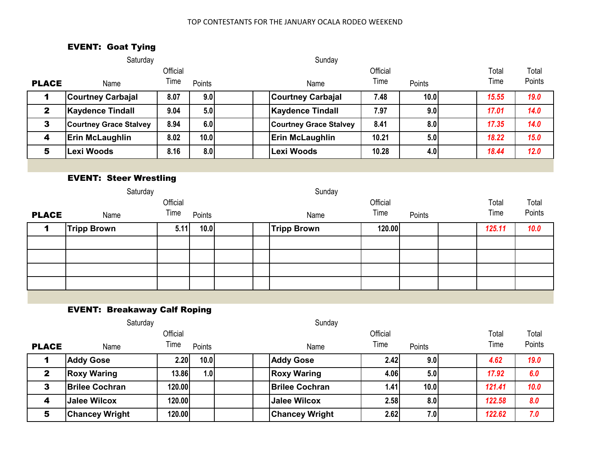# EVENT: Goat Tying

|              | Saturday                            |          |        | Sunday                        |          |        |        |        |
|--------------|-------------------------------------|----------|--------|-------------------------------|----------|--------|--------|--------|
|              |                                     | Official |        |                               | Official |        | Total  | Total  |
| <b>PLACE</b> | Name                                | Time     | Points | Name                          | Time     | Points | Time   | Points |
| 1            | <b>Courtney Carbajal</b>            | 8.07     | 9.0    | <b>Courtney Carbajal</b>      | 7.48     | 10.0   | 15.55  | 19.0   |
| $\mathbf{2}$ | <b>Kaydence Tindall</b>             | 9.04     | 5.0    | <b>Kaydence Tindall</b>       | 7.97     | 9.0    | 17.01  | 14.0   |
| $\mathbf{3}$ | <b>Courtney Grace Stalvey</b>       | 8.94     | 6.0    | <b>Courtney Grace Stalvey</b> | 8.41     | 8.0    | 17.35  | 14.0   |
| 4            | <b>Erin McLaughlin</b>              | 8.02     | 10.0   | Erin McLaughlin               | 10.21    | 5.0    | 18.22  | 15.0   |
| 5            | <b>Lexi Woods</b>                   | 8.16     | 8.0    | <b>Lexi Woods</b>             | 10.28    | 4.0    | 18.44  | 12.0   |
|              |                                     |          |        |                               |          |        |        |        |
|              | <b>EVENT: Steer Wrestling</b>       |          |        |                               |          |        |        |        |
|              | Saturday                            |          |        | Sunday                        |          |        |        |        |
|              |                                     | Official |        |                               | Official |        | Total  | Total  |
| <b>PLACE</b> | Name                                | Time     | Points | Name                          | Time     | Points | Time   | Points |
| 1            | <b>Tripp Brown</b>                  | 5.11     | 10.0   | <b>Tripp Brown</b>            | 120.00   |        | 125.11 | 10.0   |
|              |                                     |          |        |                               |          |        |        |        |
|              |                                     |          |        |                               |          |        |        |        |
|              |                                     |          |        |                               |          |        |        |        |
|              |                                     |          |        |                               |          |        |        |        |
|              |                                     |          |        |                               |          |        |        |        |
|              | <b>EVENT: Breakaway Calf Roping</b> |          |        |                               |          |        |        |        |
|              | Saturday                            |          |        | Sunday                        |          |        |        |        |
|              |                                     | Official |        |                               | Official |        | Total  | Total  |
| <b>PLACE</b> | Name                                | Time     | Points | Name                          | Time     | Points | Time   | Points |
| 1            | <b>Addy Gose</b>                    | 2.20     | 10.0   | <b>Addy Gose</b>              | 2.42     | 9.0    | 4.62   | 19.0   |
| $\mathbf{2}$ | <b>Roxy Waring</b>                  | 13.86    | 1.0    | <b>Roxy Waring</b>            | 4.06     | 5.0    | 17.92  | 6.0    |
| $\mathbf{3}$ | <b>Brilee Cochran</b>               | 120.00   |        | <b>Brilee Cochran</b>         | 1.41     | 10.0   | 121.41 | 10.0   |
| 4            | <b>Jalee Wilcox</b>                 | 120.00   |        | <b>Jalee Wilcox</b>           | 2.58     | 8.0    | 122.58 | 8.0    |

5 **Chancey Wright 120.00 Chancey Wright 2.62 7.0** *122.62 7.0*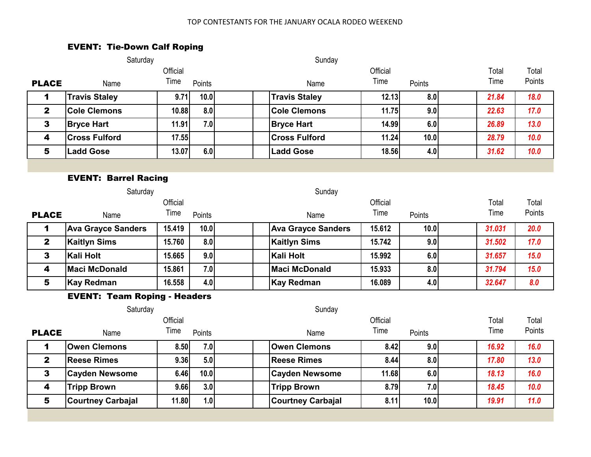# EVENT: Tie-Down Calf Roping

|                  | Saturday                            |          |        | Sunday                    |          |        |  |        |        |
|------------------|-------------------------------------|----------|--------|---------------------------|----------|--------|--|--------|--------|
|                  |                                     | Official |        |                           | Official |        |  | Total  | Total  |
| <b>PLACE</b>     | Name                                | Time     | Points | Name                      | Time     | Points |  | Time   | Points |
| 1                | <b>Travis Staley</b>                | 9.71     | 10.0   | <b>Travis Staley</b>      | 12.13    | 8.0    |  | 21.84  | 18.0   |
| $\mathbf{2}$     | <b>Cole Clemons</b>                 | 10.88    | 8.0    | <b>Cole Clemons</b>       | 11.75    | 9.0    |  | 22.63  | 17.0   |
| 3                | <b>Bryce Hart</b>                   | 11.91    | 7.0    | <b>Bryce Hart</b>         | 14.99    | 6.0    |  | 26.89  | 13.0   |
| $\boldsymbol{4}$ | <b>Cross Fulford</b>                | 17.55    |        | <b>Cross Fulford</b>      | 11.24    | 10.0   |  | 28.79  | 10.0   |
| 5                | <b>Ladd Gose</b>                    | 13.07    | 6.0    | <b>Ladd Gose</b>          | 18.56    | 4.0    |  | 31.62  | 10.0   |
|                  |                                     |          |        |                           |          |        |  |        |        |
|                  | <b>EVENT: Barrel Racing</b>         |          |        |                           |          |        |  |        |        |
|                  | Saturday                            |          |        | Sunday                    |          |        |  |        |        |
|                  |                                     | Official |        |                           | Official |        |  | Total  | Total  |
| <b>PLACE</b>     | Name                                | Time     | Points | Name                      | Time     | Points |  | Time   | Points |
| 1                | <b>Ava Grayce Sanders</b>           | 15.419   | 10.0   | <b>Ava Grayce Sanders</b> | 15.612   | 10.0   |  | 31.031 | 20.0   |
| $\mathbf{2}$     | <b>Kaitlyn Sims</b>                 | 15.760   | 8.0    | <b>Kaitlyn Sims</b>       | 15.742   | 9.0    |  | 31.502 | 17.0   |
| 3                | <b>Kali Holt</b>                    | 15.665   | 9.0    | <b>Kali Holt</b>          | 15.992   | 6.0    |  | 31.657 | 15.0   |
| $\boldsymbol{4}$ | <b>Maci McDonald</b>                | 15.861   | 7.0    | <b>Maci McDonald</b>      | 15.933   | 8.0    |  | 31.794 | 15.0   |
| 5                | <b>Kay Redman</b>                   | 16.558   | 4.0    | <b>Kay Redman</b>         | 16.089   | 4.0    |  | 32.647 | 8.0    |
|                  | <b>EVENT: Team Roping - Headers</b> |          |        |                           |          |        |  |        |        |
|                  | Saturday                            |          |        | Sunday                    |          |        |  |        |        |
|                  |                                     | Official |        |                           | Official |        |  | Total  | Total  |
| <b>PLACE</b>     | Name                                | Time     | Points | Name                      | Time     | Points |  | Time   | Points |
| 1                | <b>Owen Clemons</b>                 | 8.50     | 7.0    | <b>Owen Clemons</b>       | 8.42     | 9.0    |  | 16.92  | 16.0   |
| $\mathbf{2}$     | <b>Reese Rimes</b>                  | 9.36     | 5.0    | <b>Reese Rimes</b>        | 8.44     | 8.0    |  | 17.80  | 13.0   |
| 3                | <b>Cayden Newsome</b>               | 6.46     | 10.0   | <b>Cayden Newsome</b>     | 11.68    | 6.0    |  | 18.13  | 16.0   |
| 4                | <b>Tripp Brown</b>                  | 9.66     | 3.0    | <b>Tripp Brown</b>        | 8.79     | 7.0    |  | 18.45  | 10.0   |
| 5                | <b>Courtney Carbajal</b>            | 11.80    | 1.0    | <b>Courtney Carbajal</b>  | 8.11     | 10.0   |  | 19.91  | 11.0   |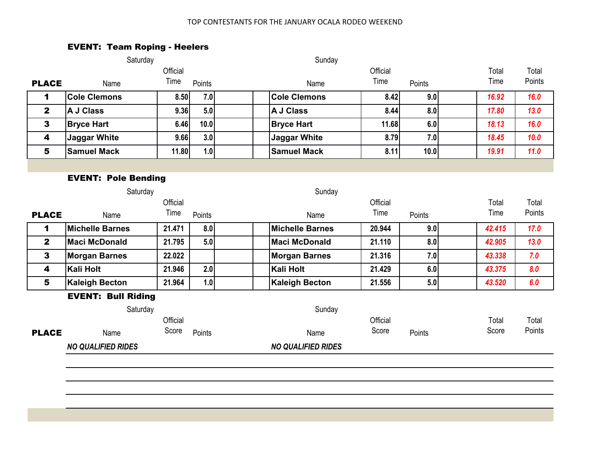# EVENT: Team Roping - Heelers

|                         | Saturday                   |          |        | Sunday                    |          |        |        |        |
|-------------------------|----------------------------|----------|--------|---------------------------|----------|--------|--------|--------|
|                         |                            | Official |        |                           | Official |        | Total  | Total  |
| <b>PLACE</b>            | Name                       | Time     | Points | Name                      | Time     | Points | Time   | Points |
| $\mathbf 1$             | <b>Cole Clemons</b>        | 8.50     | 7.0    | <b>Cole Clemons</b>       | 8.42     | 9.0    | 16.92  | 16.0   |
| $\mathbf{2}$            | <b>A J Class</b>           | 9.36     | 5.0    | A J Class                 | 8.44     | 8.0    | 17.80  | 13.0   |
| 3                       | <b>Bryce Hart</b>          | 6.46     | 10.0   | <b>Bryce Hart</b>         | 11.68    | 6.0    | 18.13  | 16.0   |
| $\overline{\mathbf{4}}$ | <b>Jaggar White</b>        | 9.66     | 3.0    | <b>Jaggar White</b>       | 8.79     | 7.0    | 18.45  | 10.0   |
| 5                       | <b>Samuel Mack</b>         | 11.80    | 1.0    | <b>Samuel Mack</b>        | 8.11     | 10.0   | 19.91  | 11.0   |
|                         |                            |          |        |                           |          |        |        |        |
|                         | <b>EVENT: Pole Bending</b> |          |        |                           |          |        |        |        |
|                         | Saturday                   |          |        | Sunday                    |          |        |        |        |
|                         |                            | Official |        |                           | Official |        | Total  | Total  |
| <b>PLACE</b>            | Name                       | Time     | Points | Name                      | Time     | Points | Time   | Points |
| 1                       | <b>Michelle Barnes</b>     | 21.471   | 8.0    | <b>Michelle Barnes</b>    | 20.944   | 9.0    | 42.415 | 17.0   |
| $\mathbf{2}$            | <b>Maci McDonald</b>       | 21.795   | 5.0    | <b>Maci McDonald</b>      | 21.110   | 8.0    | 42.905 | 13.0   |
| 3                       | <b>Morgan Barnes</b>       | 22.022   |        | <b>Morgan Barnes</b>      | 21.316   | 7.0    | 43.338 | 7.0    |
| $\overline{\mathbf{4}}$ | Kali Holt                  | 21.946   | 2.0    | <b>Kali Holt</b>          | 21.429   | 6.0    | 43.375 | 8.0    |
| 5                       | <b>Kaleigh Becton</b>      | 21.964   | 1.0    | <b>Kaleigh Becton</b>     | 21.556   | 5.0    | 43.520 | 6.0    |
|                         | <b>EVENT: Bull Riding</b>  |          |        |                           |          |        |        |        |
|                         | Saturday                   |          |        | Sunday                    |          |        |        |        |
|                         |                            | Official |        |                           | Official |        | Total  | Total  |
| <b>PLACE</b>            | Name                       | Score    | Points | Name                      | Score    | Points | Score  | Points |
|                         | <b>NO QUALIFIED RIDES</b>  |          |        | <b>NO QUALIFIED RIDES</b> |          |        |        |        |
|                         |                            |          |        |                           |          |        |        |        |
|                         |                            |          |        |                           |          |        |        |        |
|                         |                            |          |        |                           |          |        |        |        |